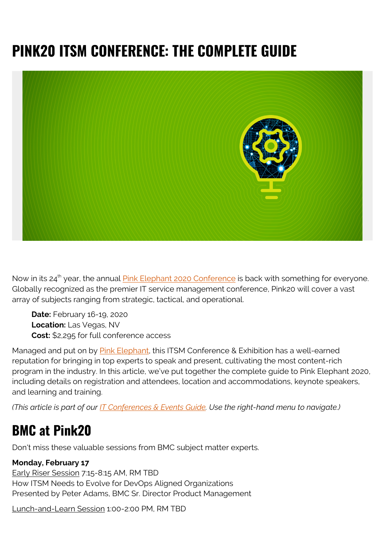# **PINK20 ITSM CONFERENCE: THE COMPLETE GUIDE**



Now in its 24<sup>th</sup> year, the annual [Pink Elephant 2020 Conference](https://pinkelephant.com/en-US/Pink20/home) is back with something for everyone. Globally recognized as the premier IT service management conference, Pink20 will cover a vast array of subjects ranging from strategic, tactical, and operational.

**Date:** February 16-19, 2020 **Location:** Las Vegas, NV **Cost:** \$2,295 for full conference access

Managed and put on by [Pink Elephant](https://pinkelephant.com/), this ITSM Conference & Exhibition has a well-earned reputation for bringing in top experts to speak and present, cultivating the most content-rich program in the industry. In this article, we've put together the complete guide to Pink Elephant 2020, including details on registration and attendees, location and accommodations, keynote speakers, and learning and training.

*(This article is part of our [IT Conferences & Events Guide](https://blogs.bmc.com/blogs/tech-it-conferences/). Use the right-hand menu to navigate.)*

## **BMC at Pink20**

Don't miss these valuable sessions from BMC subject matter experts.

#### **Monday, February 17**

Early Riser Session 7:15-8:15 AM, RM TBD How ITSM Needs to Evolve for DevOps Aligned Organizations Presented by Peter Adams, BMC Sr. Director Product Management

Lunch-and-Learn Session 1:00-2:00 PM, RM TBD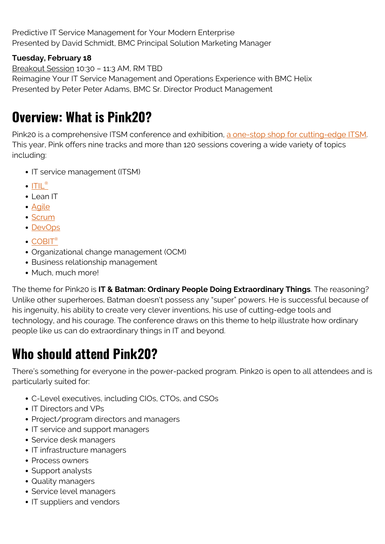Predictive IT Service Management for Your Modern Enterprise Presented by David Schmidt, BMC Principal Solution Marketing Manager

#### **Tuesday, February 18**

Breakout Session 10:30 – 11:3 AM, RM TBD Reimagine Your IT Service Management and Operations Experience with BMC Helix Presented by Peter Peter Adams, BMC Sr. Director Product Management

## **Overview: What is Pink20?**

Pink20 is a comprehensive ITSM conference and exhibition, [a one-stop shop for cutting-edge ITSM.](https://blog.pinkelephant.com/blog/pink20-a-one-stop-shop-for-cutting-edge-itsm) This year, Pink offers nine tracks and more than 120 sessions covering a wide variety of topics including:

- IT service management (ITSM)
- $\bullet$  [ITIL](https://blogs.bmc.com/blogs/itil-4/)[®](https://blogs.bmc.com/blogs/itil-4/)
- Lean IT
- [Agile](https://blogs.bmc.com/blogs/accelerating-agile-delivery-with-itsm-integration/)
- [Scrum](https://blogs.bmc.com/blogs/agile-scrum-getting-started/)
- [DevOps](https://blogs.bmc.com/blogs/devops-basics-introduction/)
- $\bullet$  [COBIT](https://blogs.bmc.com/blogs/cobit/)[®](https://blogs.bmc.com/blogs/cobit/)
- Organizational change management (OCM)
- Business relationship management
- Much, much more!

The theme for Pink20 is **IT & Batman: Ordinary People Doing Extraordinary Things**. The reasoning? Unlike other superheroes, Batman doesn't possess any "super" powers. He is successful because of his ingenuity, his ability to create very clever inventions, his use of cutting-edge tools and technology, and his courage. The conference draws on this theme to help illustrate how ordinary people like us can do extraordinary things in IT and beyond.

## **Who should attend Pink20?**

There's something for everyone in the power-packed program. Pink20 is open to all attendees and is particularly suited for:

- C-Level executives, including CIOs, CTOs, and CSOs
- IT Directors and VPs
- Project/program directors and managers
- IT service and support managers
- Service desk managers
- IT infrastructure managers
- Process owners
- Support analysts
- Quality managers
- Service level managers
- IT suppliers and vendors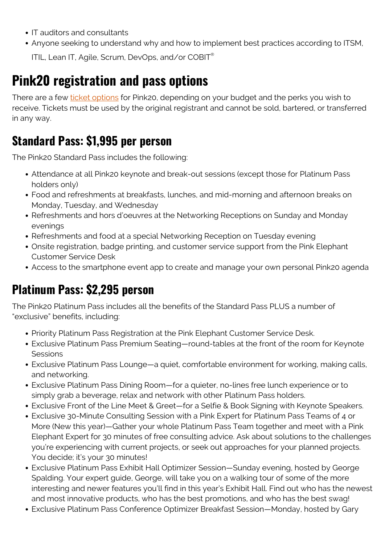- IT auditors and consultants
- Anyone seeking to understand why and how to implement best practices according to ITSM,

ITIL, Lean IT, Agile, Scrum, DevOps, and/or COBIT®

## **Pink20 registration and pass options**

There are a few [ticket options](https://pinkelephant.com/en-US/Pink20/register) for Pink20, depending on your budget and the perks you wish to receive. Tickets must be used by the original registrant and cannot be sold, bartered, or transferred in any way.

### **Standard Pass: \$1,995 per person**

The Pink20 Standard Pass includes the following:

- Attendance at all Pink20 keynote and break-out sessions (except those for Platinum Pass holders only)
- Food and refreshments at breakfasts, lunches, and mid-morning and afternoon breaks on Monday, Tuesday, and Wednesday
- Refreshments and hors d'oeuvres at the Networking Receptions on Sunday and Monday evenings
- Refreshments and food at a special Networking Reception on Tuesday evening
- Onsite registration, badge printing, and customer service support from the Pink Elephant Customer Service Desk
- Access to the smartphone event app to create and manage your own personal Pink20 agenda

## **Platinum Pass: \$2,295 person**

The Pink20 Platinum Pass includes all the benefits of the Standard Pass PLUS a number of "exclusive" benefits, including:

- Priority Platinum Pass Registration at the Pink Elephant Customer Service Desk.
- Exclusive Platinum Pass Premium Seating—round-tables at the front of the room for Keynote **Sessions**
- Exclusive Platinum Pass Lounge—a quiet, comfortable environment for working, making calls, and networking.
- Exclusive Platinum Pass Dining Room—for a quieter, no-lines free lunch experience or to simply grab a beverage, relax and network with other Platinum Pass holders.
- Exclusive Front of the Line Meet & Greet—for a Selfie & Book Signing with Keynote Speakers.
- Exclusive 30-Minute Consulting Session with a Pink Expert for Platinum Pass Teams of 4 or More (New this year)—Gather your whole Platinum Pass Team together and meet with a Pink Elephant Expert for 30 minutes of free consulting advice. Ask about solutions to the challenges you're experiencing with current projects, or seek out approaches for your planned projects. You decide; it's your 30 minutes!
- Exclusive Platinum Pass Exhibit Hall Optimizer Session—Sunday evening, hosted by George Spalding. Your expert guide, George, will take you on a walking tour of some of the more interesting and newer features you'll find in this year's Exhibit Hall. Find out who has the newest and most innovative products, who has the best promotions, and who has the best swag!
- Exclusive Platinum Pass Conference Optimizer Breakfast Session—Monday, hosted by Gary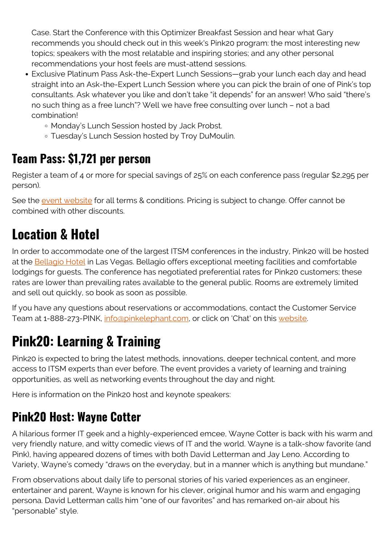Case. Start the Conference with this Optimizer Breakfast Session and hear what Gary recommends you should check out in this week's Pink20 program: the most interesting new topics; speakers with the most relatable and inspiring stories; and any other personal recommendations your host feels are must-attend sessions.

- Exclusive Platinum Pass Ask-the-Expert Lunch Sessions—grab your lunch each day and head straight into an Ask-the-Expert Lunch Session where you can pick the brain of one of Pink's top consultants. Ask whatever you like and don't take "it depends" for an answer! Who said "there's no such thing as a free lunch"? Well we have free consulting over lunch – not a bad combination!
	- o Monday's Lunch Session hosted by Jack Probst.
	- Tuesday's Lunch Session hosted by Troy DuMoulin.

## **Team Pass: \$1,721 per person**

Register a team of 4 or more for special savings of 25% on each conference pass (regular \$2,295 per person).

See the [event website](https://pinkelephant.com/en-US/Pink20/register) for all terms & conditions. Pricing is subject to change. Offer cannot be combined with other discounts.

## **Location & Hotel**

In order to accommodate one of the largest ITSM conferences in the industry, Pink20 will be hosted at the **Bellagio Hotel** in Las Vegas. Bellagio offers exceptional meeting facilities and comfortable lodgings for guests. The conference has negotiated preferential rates for Pink20 customers; these rates are lower than prevailing rates available to the general public. Rooms are extremely limited and sell out quickly, so book as soon as possible.

If you have any questions about reservations or accommodations, contact the Customer Service Team at 1-888-273-PINK, [info@pinkelephant.com,](mailto:info@pinkelephant.com) or click on 'Chat' on this [website.](https://pinkelephant.com/en-US/Pink20/register)

# **Pink20: Learning & Training**

Pink20 is expected to bring the latest methods, innovations, deeper technical content, and more access to ITSM experts than ever before. The event provides a variety of learning and training opportunities, as well as networking events throughout the day and night.

Here is information on the Pink20 host and keynote speakers:

## **Pink20 Host: Wayne Cotter**

A hilarious former IT geek and a highly-experienced emcee, Wayne Cotter is back with his warm and very friendly nature, and witty comedic views of IT and the world. Wayne is a talk-show favorite (and Pink), having appeared dozens of times with both David Letterman and Jay Leno. According to Variety, Wayne's comedy "draws on the everyday, but in a manner which is anything but mundane."

From observations about daily life to personal stories of his varied experiences as an engineer, entertainer and parent, Wayne is known for his clever, original humor and his warm and engaging persona. David Letterman calls him "one of our favorites" and has remarked on-air about his "personable" style.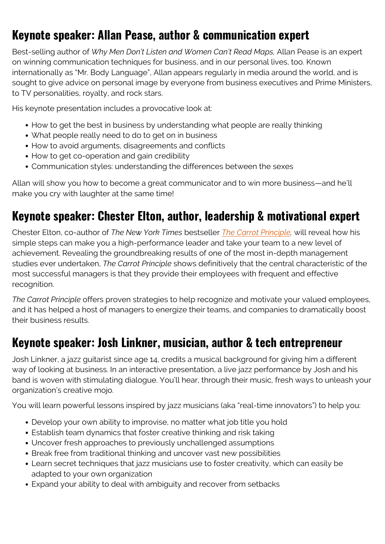## **Keynote speaker: Allan Pease, author & communication expert**

Best-selling author of *Why Men Don't Listen and Women Can't Read Maps,* Allan Pease is an expert on winning communication techniques for business, and in our personal lives, too. Known internationally as "Mr. Body Language", Allan appears regularly in media around the world, and is sought to give advice on personal image by everyone from business executives and Prime Ministers, to TV personalities, royalty, and rock stars.

His keynote presentation includes a provocative look at:

- How to get the best in business by understanding what people are really thinking
- What people really need to do to get on in business
- How to avoid arguments, disagreements and conflicts
- How to get co-operation and gain credibility
- Communication styles: understanding the differences between the sexes

Allan will show you how to become a great communicator and to win more business—and he'll make you cry with laughter at the same time!

### **Keynote speaker: Chester Elton, author, leadership & motivational expert**

Chester Elton, co-author of *The New York Times* bestseller *[The Carrot Principle](https://www.simonandschuster.com/books/The-Carrot-Principle/Adrian-Gostick/9781439149171),* will reveal how his simple steps can make you a high-performance leader and take your team to a new level of achievement. Revealing the groundbreaking results of one of the most in-depth management studies ever undertaken, *The Carrot Principle* shows definitively that the central characteristic of the most successful managers is that they provide their employees with frequent and effective recognition.

*The Carrot Principle* offers proven strategies to help recognize and motivate your valued employees, and it has helped a host of managers to energize their teams, and companies to dramatically boost their business results.

#### **Keynote speaker: Josh Linkner, musician, author & tech entrepreneur**

Josh Linkner, a jazz guitarist since age 14, credits a musical background for giving him a different way of looking at business. In an interactive presentation, a live jazz performance by Josh and his band is woven with stimulating dialogue. You'll hear, through their music, fresh ways to unleash your organization's creative mojo.

You will learn powerful lessons inspired by jazz musicians (aka "real-time innovators") to help you:

- Develop your own ability to improvise, no matter what job title you hold
- Establish team dynamics that foster creative thinking and risk taking
- Uncover fresh approaches to previously unchallenged assumptions
- Break free from traditional thinking and uncover vast new possibilities
- Learn secret techniques that jazz musicians use to foster creativity, which can easily be adapted to your own organization
- Expand your ability to deal with ambiguity and recover from setbacks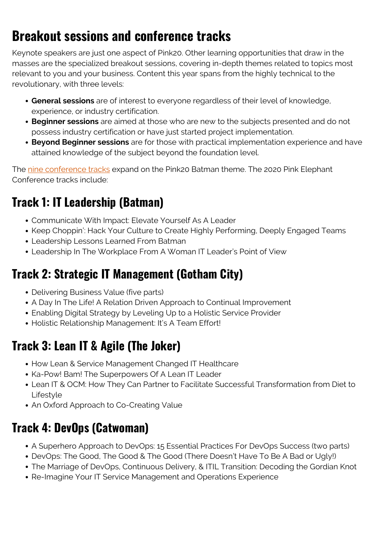## **Breakout sessions and conference tracks**

Keynote speakers are just one aspect of Pink20. Other learning opportunities that draw in the masses are the specialized breakout sessions, covering in-depth themes related to topics most relevant to you and your business. Content this year spans from the highly technical to the revolutionary, with three levels:

- **General sessions** are of interest to everyone regardless of their level of knowledge, experience, or industry certification.
- **Beginner sessions** are aimed at those who are new to the subjects presented and do not possess industry certification or have just started project implementation.
- **Beyond Beginner sessions** are for those with practical implementation experience and have attained knowledge of the subject beyond the foundation level.

The [nine conference tracks](https://pinkelephant.com/en-US/Pink20/program) expand on the Pink20 Batman theme. The 2020 Pink Elephant Conference tracks include:

### **Track 1: IT Leadership (Batman)**

- Communicate With Impact: Elevate Yourself As A Leader
- Keep Choppin': Hack Your Culture to Create Highly Performing, Deeply Engaged Teams
- Leadership Lessons Learned From Batman
- Leadership In The Workplace From A Woman IT Leader's Point of View

#### **Track 2: Strategic IT Management (Gotham City)**

- Delivering Business Value (five parts)
- A Day In The Life! A Relation Driven Approach to Continual Improvement
- Enabling Digital Strategy by Leveling Up to a Holistic Service Provider
- Holistic Relationship Management: It's A Team Effort!

## **Track 3: Lean IT & Agile (The Joker)**

- How Lean & Service Management Changed IT Healthcare
- Ka-Pow! Bam! The Superpowers Of A Lean IT Leader
- Lean IT & OCM: How They Can Partner to Facilitate Successful Transformation from Diet to Lifestyle
- An Oxford Approach to Co-Creating Value

## **Track 4: DevOps (Catwoman)**

- A Superhero Approach to DevOps: 15 Essential Practices For DevOps Success (two parts)
- DevOps: The Good, The Good & The Good (There Doesn't Have To Be A Bad or Ugly!)
- The Marriage of DevOps, Continuous Delivery, & ITIL Transition: Decoding the Gordian Knot
- Re-Imagine Your IT Service Management and Operations Experience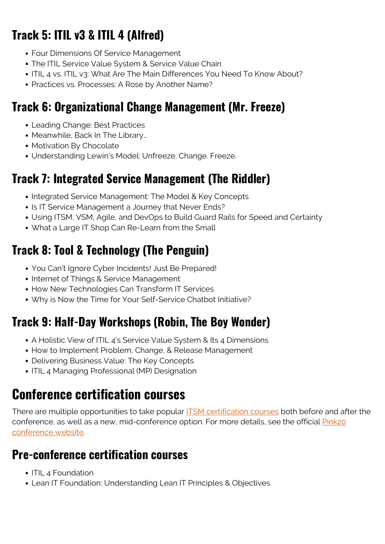## **Track 5: ITIL v3 & ITIL 4 (Alfred)**

- Four Dimensions Of Service Management
- The ITIL Service Value System & Service Value Chain
- ITIL 4 vs. ITIL v3: What Are The Main Differences You Need To Know About?
- Practices vs. Processes: A Rose by Another Name?

#### **Track 6: Organizational Change Management (Mr. Freeze)**

- Leading Change: Best Practices
- Meanwhile, Back In The Library...
- Motivation By Chocolate
- Understanding Lewin's Model: Unfreeze. Change. Freeze.

## **Track 7: Integrated Service Management (The Riddler)**

- Integrated Service Management: The Model & Key Concepts
- Is IT Service Management a Journey that Never Ends?
- Using ITSM, VSM, Agile, and DevOps to Build Guard Rails for Speed and Certainty
- What a Large IT Shop Can Re-Learn from the Small

## **Track 8: Tool & Technology (The Penguin)**

- You Can't Ignore Cyber Incidents! Just Be Prepared!
- Internet of Things & Service Management
- How New Technologies Can Transform IT Services
- Why is Now the Time for Your Self-Service Chatbot Initiative?

## **Track 9: Half-Day Workshops (Robin, The Boy Wonder)**

- A Holistic View of ITIL 4's Service Value System & Its 4 Dimensions
- How to Implement Problem, Change, & Release Management
- Delivering Business Value: The Key Concepts
- ITIL 4 Managing Professional (MP) Designation

## **Conference certification courses**

There are multiple opportunities to take popular **ITSM** certification courses both before and after the conference, as well as a new, mid-conference option. For more details, see the official [Pink20](https://pinkelephant.com/en-US/Pink20/certification-courses) [conference website](https://pinkelephant.com/en-US/Pink20/certification-courses).

#### **Pre-conference certification courses**

- ITIL 4 Foundation
- Lean IT Foundation: Understanding Lean IT Principles & Objectives